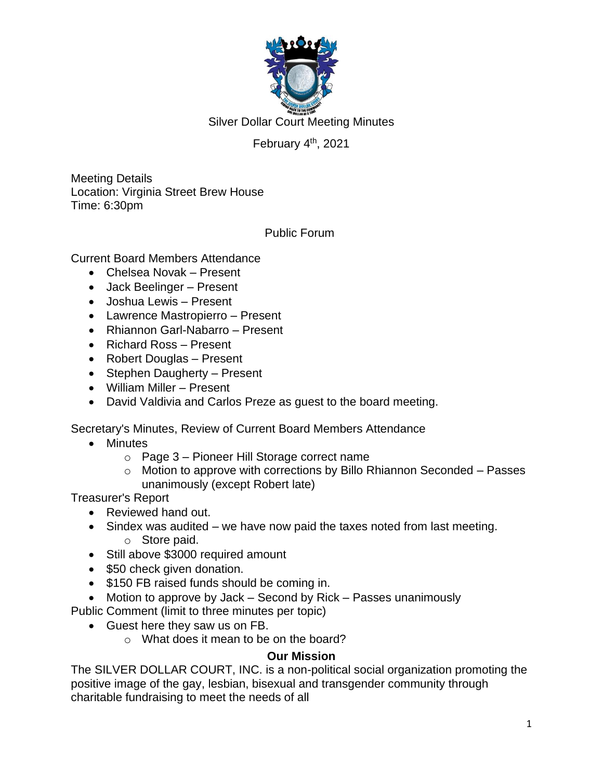

Silver Dollar Court Meeting Minutes

# February 4<sup>th</sup>, 2021

Meeting Details Location: Virginia Street Brew House Time: 6:30pm

Public Forum

Current Board Members Attendance

- Chelsea Novak Present
- Jack Beelinger Present
- Joshua Lewis Present
- Lawrence Mastropierro Present
- Rhiannon Garl-Nabarro Present
- Richard Ross Present
- Robert Douglas Present
- Stephen Daugherty Present
- William Miller Present
- David Valdivia and Carlos Preze as guest to the board meeting.

Secretary's Minutes, Review of Current Board Members Attendance

- Minutes
	- o Page 3 Pioneer Hill Storage correct name
	- o Motion to approve with corrections by Billo Rhiannon Seconded Passes unanimously (except Robert late)

Treasurer's Report

- Reviewed hand out.
- Sindex was audited we have now paid the taxes noted from last meeting. o Store paid.
- Still above \$3000 required amount
- \$50 check given donation.
- \$150 FB raised funds should be coming in.
- Motion to approve by Jack Second by Rick Passes unanimously

Public Comment (limit to three minutes per topic)

- Guest here they saw us on FB.
	- o What does it mean to be on the board?

### **Our Mission**

The SILVER DOLLAR COURT, INC. is a non-political social organization promoting the positive image of the gay, lesbian, bisexual and transgender community through charitable fundraising to meet the needs of all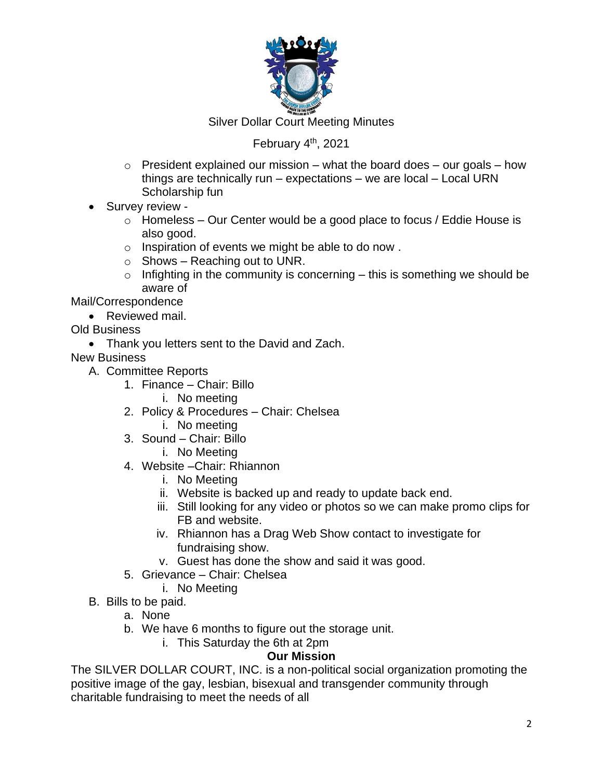

Silver Dollar Court Meeting Minutes

## February 4<sup>th</sup>, 2021

- $\circ$  President explained our mission what the board does our goals how things are technically run – expectations – we are local – Local URN Scholarship fun
- Survey review
	- $\circ$  Homeless Our Center would be a good place to focus / Eddie House is also good.
	- o Inspiration of events we might be able to do now .
	- $\circ$  Shows Reaching out to UNR.
	- $\circ$  Infighting in the community is concerning this is something we should be aware of

Mail/Correspondence

- Reviewed mail.
- Old Business
	- Thank you letters sent to the David and Zach.

New Business

- A. Committee Reports
	- 1. Finance Chair: Billo
		- i. No meeting
	- 2. Policy & Procedures Chair: Chelsea
		- i. No meeting
	- 3. Sound Chair: Billo
		- i. No Meeting
	- 4. Website –Chair: Rhiannon
		- i. No Meeting
		- ii. Website is backed up and ready to update back end.
		- iii. Still looking for any video or photos so we can make promo clips for FB and website.
		- iv. Rhiannon has a Drag Web Show contact to investigate for fundraising show.
		- v. Guest has done the show and said it was good.
	- 5. Grievance Chair: Chelsea
		- i. No Meeting
- B. Bills to be paid.
	- a. None
	- b. We have 6 months to figure out the storage unit.
		- i. This Saturday the 6th at 2pm

### **Our Mission**

The SILVER DOLLAR COURT, INC. is a non-political social organization promoting the positive image of the gay, lesbian, bisexual and transgender community through charitable fundraising to meet the needs of all